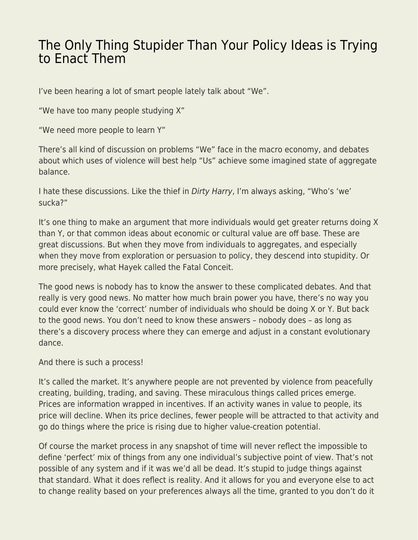## [The Only Thing Stupider Than Your Policy Ideas is Trying](https://everything-voluntary.com/the-only-thing-stupider-than-your-policy-ideas-is-trying-to-enact-them) [to Enact Them](https://everything-voluntary.com/the-only-thing-stupider-than-your-policy-ideas-is-trying-to-enact-them)

I've been hearing a lot of smart people lately talk about "We".

"We have too many people studying X"

"We need more people to learn Y"

There's all kind of discussion on problems "We" face in the macro economy, and debates about which uses of violence will best help "Us" achieve some imagined state of aggregate balance.

I hate these discussions. Like the thief in Dirty Harry, I'm always asking, "Who's 'we' sucka?"

It's one thing to make an argument that more individuals would get greater returns doing X than Y, or that common ideas about economic or cultural value are off base. These are great discussions. But when they move from individuals to aggregates, and especially when they move from exploration or persuasion to policy, they descend into stupidity. Or more precisely, what Hayek called the Fatal Conceit.

The good news is nobody has to know the answer to these complicated debates. And that really is very good news. No matter how much brain power you have, there's no way you could ever know the 'correct' number of individuals who should be doing X or Y. But back to the good news. You don't need to know these answers – nobody does – as long as there's a discovery process where they can emerge and adjust in a constant evolutionary dance.

And there is such a process!

It's called the market. It's anywhere people are not prevented by violence from peacefully creating, building, trading, and saving. These miraculous things called prices emerge. Prices are information wrapped in incentives. If an activity wanes in value to people, its price will decline. When its price declines, fewer people will be attracted to that activity and go do things where the price is rising due to higher value-creation potential.

Of course the market process in any snapshot of time will never reflect the impossible to define 'perfect' mix of things from any one individual's subjective point of view. That's not possible of any system and if it was we'd all be dead. It's stupid to judge things against that standard. What it does reflect is reality. And it allows for you and everyone else to act to change reality based on your preferences always all the time, granted to you don't do it